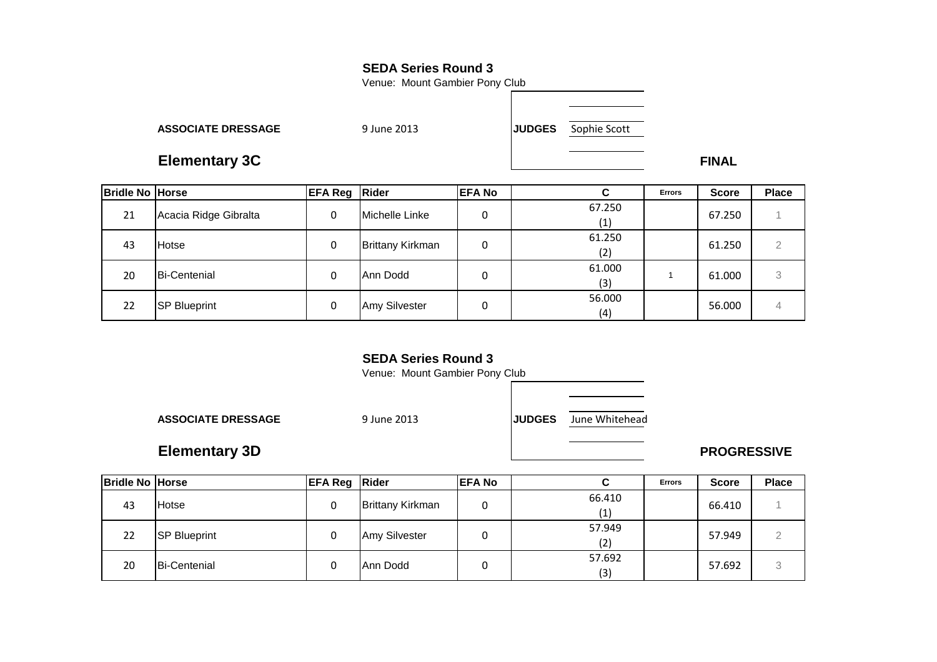Venue: Mount Gambier Pony Club

**ASSOCIATE DRESSAGE**

9 June 2013 **JUDGES**

Sophie Scott

**Elementary 3CC** FINAL

| <b>Bridle No Horse</b> |                       | <b>EFA Reg Rider</b> |                         | <b>EFA No</b> | С             | <b>Errors</b> | <b>Score</b> | <b>Place</b> |
|------------------------|-----------------------|----------------------|-------------------------|---------------|---------------|---------------|--------------|--------------|
| 21                     | Acacia Ridge Gibralta | 0                    | Michelle Linke          | 0             | 67.250<br>(1) |               | 67.250       |              |
| 43                     | Hotse                 | 0                    | <b>Brittany Kirkman</b> | 0             | 61.250<br>(2) |               | 61.250       | 2            |
| 20                     | <b>Bi-Centenial</b>   | 0                    | Ann Dodd                | 0             | 61.000<br>(3) |               | 61.000       | 3            |
| 22                     | <b>SP Blueprint</b>   | 0                    | Amy Silvester           | 0             | 56.000<br>(4) |               | 56.000       | 4            |

## **SEDA Series Round 3**

Venue: Mount Gambier Pony Club

**ASSOCIATE DRESSAGE**

9 June 2013 **JUDGES** June Whitehead

# **Elementary 3D**

**PROGRESSIVE** 

| <b>Bridle No Horse</b> |                     | <b>EFA Reg Rider</b> |                         | IEFA No |        | <b>Errors</b> | <b>Score</b> | <b>Place</b> |
|------------------------|---------------------|----------------------|-------------------------|---------|--------|---------------|--------------|--------------|
| 43                     | Hotse               | 0                    | <b>Brittany Kirkman</b> |         | 66.410 |               | 66.410       |              |
|                        |                     |                      |                         |         | (1)    |               |              |              |
| 22                     | <b>SP Blueprint</b> | 0                    | Amy Silvester           |         | 57.949 |               | 57.949       |              |
|                        |                     |                      |                         |         | (2)    |               |              |              |
| 20                     | <b>Bi-Centenial</b> | 0                    | Ann Dodd                |         | 57.692 |               | 57.692       | $\Omega$     |
|                        |                     |                      |                         | L       | (3)    |               |              | ◡            |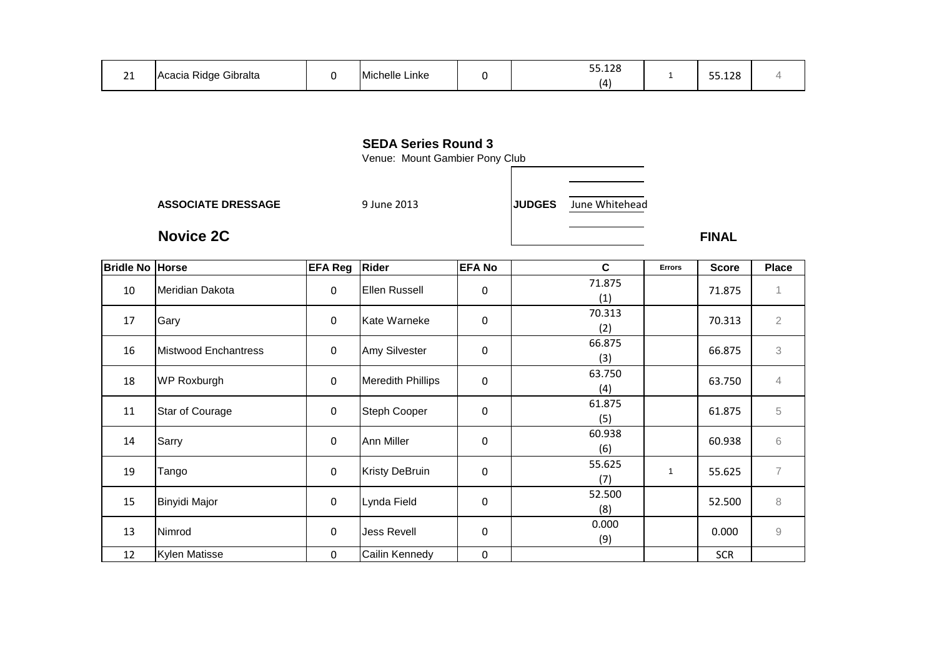| $\sim$<br>-- | $\sim$<br>$\sim$ .<br>∗ Gibralta<br>Acacia<br>sidae.<br>.<br>avic |  | Linke<br>lichelle |  | 130<br>$ -$<br>55.IZ)<br>___<br><u>л</u> |  | 55.128 |  |
|--------------|-------------------------------------------------------------------|--|-------------------|--|------------------------------------------|--|--------|--|
|--------------|-------------------------------------------------------------------|--|-------------------|--|------------------------------------------|--|--------|--|

Venue: Mount Gambier Pony Club

**ASSOCIATE DRESSAGE**

**Novice 2C**

9 June 2013 **JUDGES** June Whitehead

**C** FINAL

**Errors Score Place**

| <b>Bridle No Horse</b> |                        | <b>EFA Reg</b> | <b>Rider</b>             | <b>EFA No</b>    | C             | <b>Errors</b> | <b>Score</b> | Plac                |
|------------------------|------------------------|----------------|--------------------------|------------------|---------------|---------------|--------------|---------------------|
| 10                     | Meridian Dakota        | $\mathbf 0$    | Ellen Russell            | 0                | 71.875<br>(1) |               | 71.875       | 1                   |
| 17                     | Gary                   | $\mathbf 0$    | Kate Warneke             | 0                | 70.313<br>(2) |               | 70.313       | $\overline{2}$      |
| 16                     | Mistwood Enchantress   | $\mathbf 0$    | Amy Silvester            | $\boldsymbol{0}$ | 66.875<br>(3) |               | 66.875       | 3                   |
| 18                     | <b>WP Roxburgh</b>     | $\pmb{0}$      | <b>Meredith Phillips</b> | 0                | 63.750<br>(4) |               | 63.750       | 4                   |
| 11                     | <b>Star of Courage</b> | $\pmb{0}$      | Steph Cooper             | 0                | 61.875<br>(5) |               | 61.875       | 5                   |
| 14                     | Sarry                  | $\pmb{0}$      | <b>Ann Miller</b>        | $\boldsymbol{0}$ | 60.938<br>(6) |               | 60.938       | 6                   |
| 19                     | Tango                  | $\mathbf 0$    | <b>Kristy DeBruin</b>    | 0                | 55.625<br>(7) | $\mathbf{1}$  | 55.625       | $\overline{7}$      |
| 15                     | Binyidi Major          | $\pmb{0}$      | Lynda Field              | 0                | 52.500<br>(8) |               | 52.500       | 8                   |
| 13                     | Nimrod                 | $\pmb{0}$      | Jess Revell              | $\mathbf 0$      | 0.000<br>(9)  |               | 0.000        | $\mathcal{G}% _{0}$ |
| 12                     | <b>Kylen Matisse</b>   | $\mathbf 0$    | Cailin Kennedy           | 0                |               |               | <b>SCR</b>   |                     |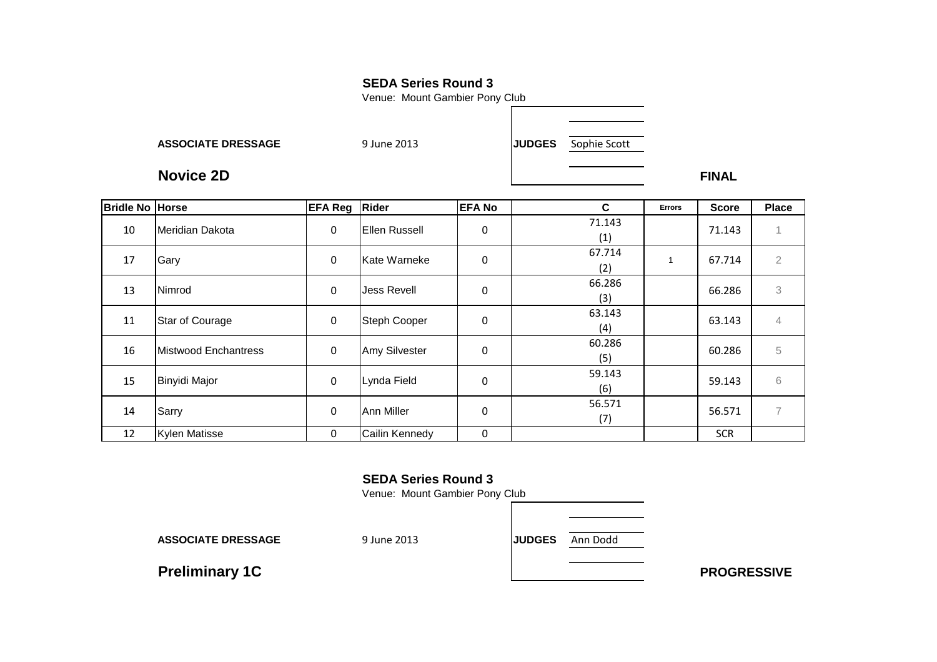Venue: Mount Gambier Pony Club

**ASSOCIATE DRESSAGE**

9 June 2013 **JUDGES** Sophie Scott

**Novice 2DFINAL** 

| <b>Bridle No Horse</b> |                      | <b>EFA Reg</b> | <b>Rider</b>         | <b>EFA No</b> | C             | <b>Errors</b> | <b>Score</b> | <b>Place</b>   |
|------------------------|----------------------|----------------|----------------------|---------------|---------------|---------------|--------------|----------------|
| 10                     | Meridian Dakota      | 0              | Ellen Russell        | 0             | 71.143<br>(1) |               | 71.143       | $\overline{A}$ |
| 17                     | Gary                 | 0              | Kate Warneke         | 0             | 67.714<br>(2) |               | 67.714       | $\overline{2}$ |
| 13                     | Nimrod               | 0              | <b>Jess Revell</b>   | 0             | 66.286<br>(3) |               | 66.286       | 3              |
| 11                     | Star of Courage      | 0              | <b>Steph Cooper</b>  | 0             | 63.143<br>(4) |               | 63.143       | $\overline{4}$ |
| 16                     | Mistwood Enchantress | 0              | <b>Amy Silvester</b> | 0             | 60.286<br>(5) |               | 60.286       | 5              |
| 15                     | <b>Binyidi Major</b> | 0              | Lynda Field          | 0             | 59.143<br>(6) |               | 59.143       | 6              |
| 14                     | Sarry                | 0              | <b>Ann Miller</b>    | 0             | 56.571<br>(7) |               | 56.571       | $\overline{7}$ |
| 12                     | <b>Kylen Matisse</b> | 0              | Cailin Kennedy       | 0             |               |               | <b>SCR</b>   |                |

## **SEDA Series Round 3**

Venue: Mount Gambier Pony Club

**ASSOCIATE DRESSAGE**

9 June 2013 **JUDGES** Ann Dodd

**Preliminary 1C**

**C** PROGRESSIVE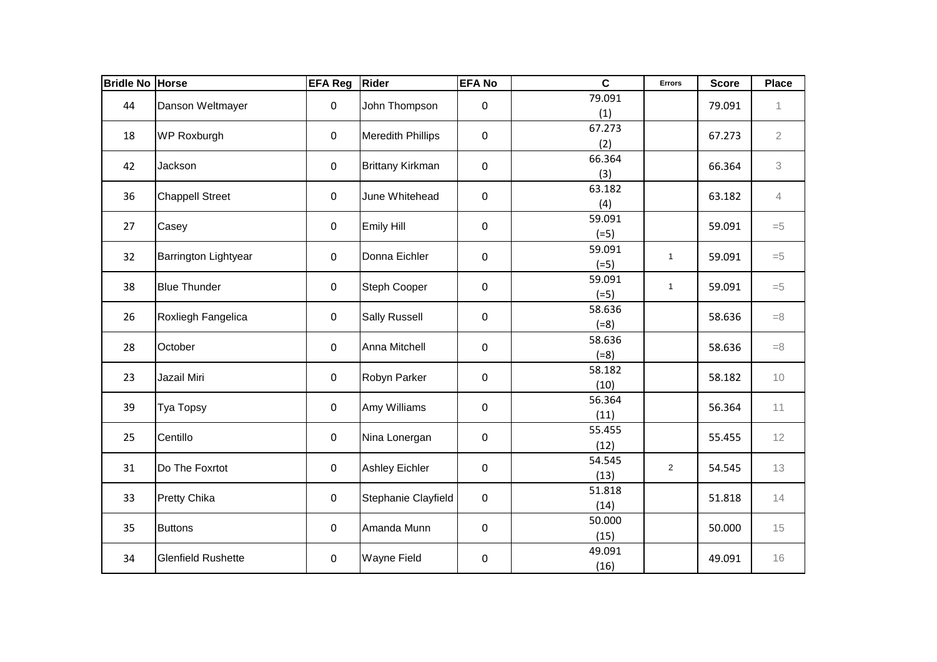| <b>Bridle No Horse</b> |                           | <b>EFA Reg</b> | <b>Rider</b>             | <b>EFA No</b>    | $\mathbf c$      | <b>Errors</b>  | <b>Score</b> | <b>Place</b>   |
|------------------------|---------------------------|----------------|--------------------------|------------------|------------------|----------------|--------------|----------------|
| 44                     | Danson Weltmayer          | 0              | John Thompson            | 0                | 79.091<br>(1)    |                | 79.091       | 1              |
| 18                     | <b>WP Roxburgh</b>        | 0              | <b>Meredith Phillips</b> | 0                | 67.273<br>(2)    |                | 67.273       | $\overline{2}$ |
| 42                     | Jackson                   | 0              | <b>Brittany Kirkman</b>  | 0                | 66.364<br>(3)    |                | 66.364       | 3              |
| 36                     | <b>Chappell Street</b>    | 0              | June Whitehead           | 0                | 63.182<br>(4)    |                | 63.182       | $\overline{4}$ |
| 27                     | Casey                     | 0              | Emily Hill               | 0                | 59.091<br>$(=5)$ |                | 59.091       | $=5$           |
| 32                     | Barrington Lightyear      | 0              | Donna Eichler            | 0                | 59.091<br>$(=5)$ | $\mathbf{1}$   | 59.091       | $= 5$          |
| 38                     | <b>Blue Thunder</b>       | 0              | Steph Cooper             | 0                | 59.091<br>$(=5)$ | $\mathbf{1}$   | 59.091       | $=5$           |
| 26                     | Roxliegh Fangelica        | 0              | <b>Sally Russell</b>     | 0                | 58.636<br>$(=8)$ |                | 58.636       | $=8$           |
| 28                     | October                   | 0              | Anna Mitchell            | 0                | 58.636<br>$(=8)$ |                | 58.636       | $=8$           |
| 23                     | Jazail Miri               | 0              | Robyn Parker             | 0                | 58.182<br>(10)   |                | 58.182       | 10             |
| 39                     | Tya Topsy                 | 0              | Amy Williams             | 0                | 56.364<br>(11)   |                | 56.364       | 11             |
| 25                     | Centillo                  | 0              | Nina Lonergan            | 0                | 55.455<br>(12)   |                | 55.455       | 12             |
| 31                     | Do The Foxrtot            | 0              | <b>Ashley Eichler</b>    | 0                | 54.545<br>(13)   | $\overline{2}$ | 54.545       | 13             |
| 33                     | <b>Pretty Chika</b>       | 0              | Stephanie Clayfield      | $\boldsymbol{0}$ | 51.818<br>(14)   |                | 51.818       | 14             |
| 35                     | <b>Buttons</b>            | 0              | Amanda Munn              | 0                | 50.000<br>(15)   |                | 50.000       | 15             |
| 34                     | <b>Glenfield Rushette</b> | 0              | <b>Wayne Field</b>       | 0                | 49.091<br>(16)   |                | 49.091       | 16             |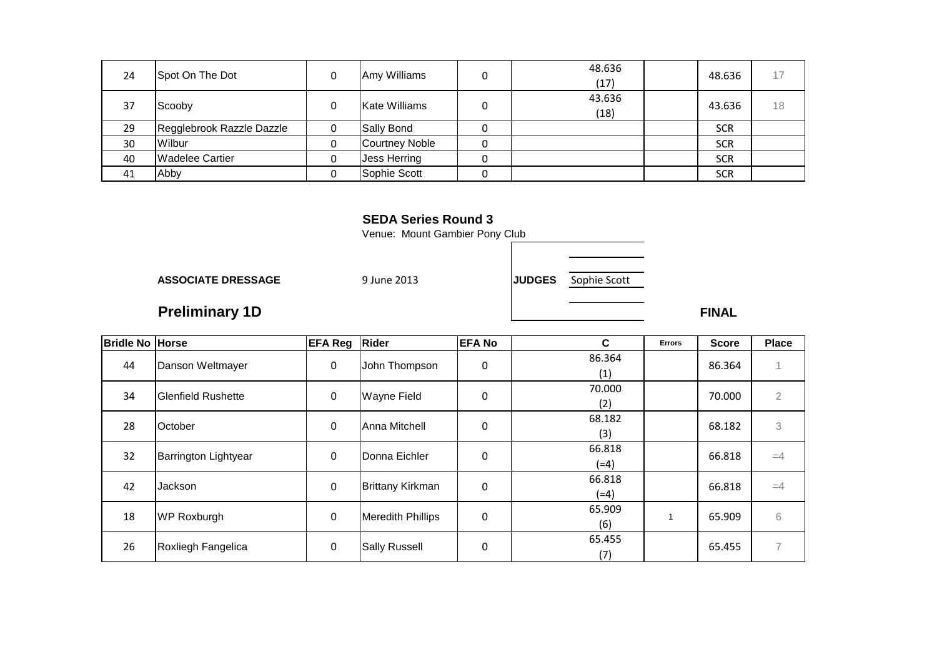| 24 | Spot On The Dot           | Amy Williams          | 48.636<br>(17) | 48.636     |    |
|----|---------------------------|-----------------------|----------------|------------|----|
| 37 | Scooby                    | Kate Williams         | 43.636<br>(18) | 43.636     | 18 |
| 29 | Regglebrook Razzle Dazzle | Sally Bond            |                | <b>SCR</b> |    |
| 30 | Wilbur                    | <b>Courtney Noble</b> |                | <b>SCR</b> |    |
| 40 | <b>Wadelee Cartier</b>    | Jess Herring          |                | <b>SCR</b> |    |
| 41 | Abby                      | Sophie Scott          |                | <b>SCR</b> |    |

Venue: Mount Gambier Pony Club

**ASSOCIATE DRESSAGE**

9 June 2013 **JUDGES** Sophie Scott

**Preliminary 1D**

**FINAL** 

| <b>Bridle No Horse</b> |                             | <b>EFA Reg Rider</b> |                          | <b>EFA No</b> | C      | <b>Errors</b> | <b>Score</b> | <b>Place</b>   |
|------------------------|-----------------------------|----------------------|--------------------------|---------------|--------|---------------|--------------|----------------|
| 44                     | Danson Weltmayer            | $\mathbf 0$          | John Thompson            | 0             | 86.364 |               | 86.364       |                |
|                        |                             |                      |                          |               | (1)    |               |              |                |
| 34                     | <b>Glenfield Rushette</b>   | $\pmb{0}$            | <b>Wayne Field</b>       | 0             | 70.000 |               | 70.000       | $\overline{2}$ |
|                        |                             |                      |                          |               | (2)    |               |              |                |
| 28                     | October                     | $\mathbf 0$          | Anna Mitchell            | 0             | 68.182 |               | 68.182       | 3              |
|                        |                             |                      |                          |               | (3)    |               |              |                |
| 32                     | <b>Barrington Lightyear</b> | $\mathbf 0$          | Donna Eichler            | 0             | 66.818 |               | 66.818       | $=4$           |
|                        |                             |                      |                          |               | $(=4)$ |               |              |                |
| 42                     | Jackson                     | $\mathbf 0$          | <b>Brittany Kirkman</b>  | 0             | 66.818 |               | 66.818       | $=4$           |
|                        |                             |                      |                          |               | (=4)   |               |              |                |
| 18                     |                             |                      |                          | 0             | 65.909 |               |              | 6              |
|                        | <b>WP Roxburgh</b>          | 0                    | <b>Meredith Phillips</b> |               | (6)    |               | 65.909       |                |
| 26                     |                             |                      |                          | 0             | 65.455 |               | 65.455       | 7              |
|                        | Roxliegh Fangelica          | 0                    | <b>Sally Russell</b>     |               | (7)    |               |              |                |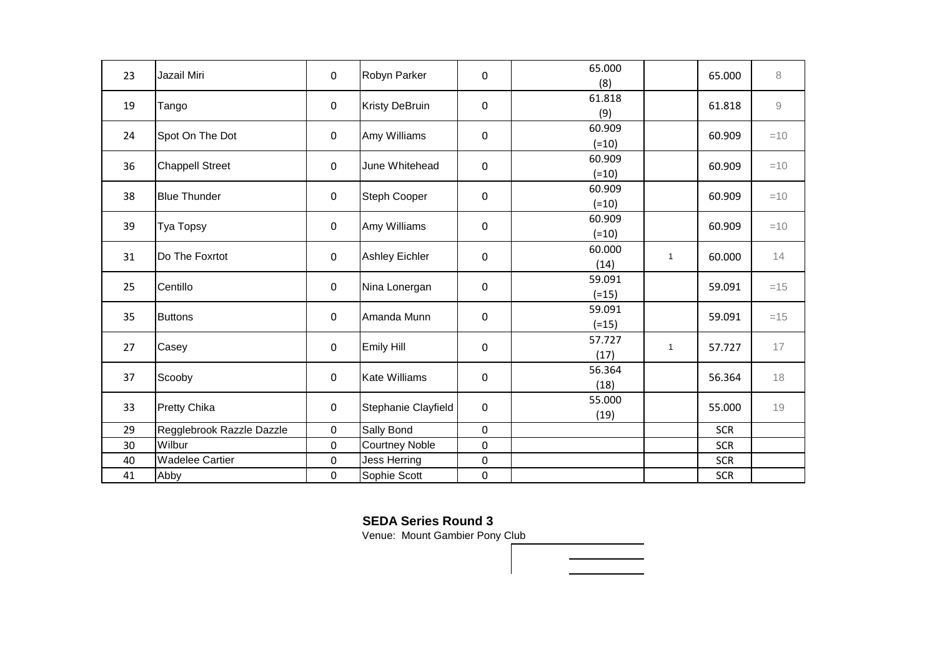| 23 | Jazail Miri               | $\mathbf 0$ | Robyn Parker          | $\mathbf 0$  | 65.000<br>(8)     |              | 65.000     | 8                   |
|----|---------------------------|-------------|-----------------------|--------------|-------------------|--------------|------------|---------------------|
| 19 | Tango                     | 0           | <b>Kristy DeBruin</b> | 0            | 61.818<br>(9)     |              | 61.818     | $\mathcal{G}% _{0}$ |
| 24 | Spot On The Dot           | $\mathbf 0$ | Amy Williams          | $\mathbf 0$  | 60.909<br>$(=10)$ |              | 60.909     | $=10$               |
| 36 | <b>Chappell Street</b>    | $\mathbf 0$ | June Whitehead        | 0            | 60.909<br>$(=10)$ |              | 60.909     | $=10$               |
| 38 | <b>Blue Thunder</b>       | 0           | <b>Steph Cooper</b>   | 0            | 60.909<br>$(=10)$ |              | 60.909     | $=10$               |
| 39 | <b>Tya Topsy</b>          | $\mathbf 0$ | Amy Williams          | $\mathbf 0$  | 60.909<br>$(=10)$ |              | 60.909     | $=10$               |
| 31 | Do The Foxrtot            | $\mathbf 0$ | <b>Ashley Eichler</b> | 0            | 60.000<br>(14)    | $\mathbf{1}$ | 60.000     | 14                  |
| 25 | Centillo                  | 0           | Nina Lonergan         | 0            | 59.091<br>$(=15)$ |              | 59.091     | $=15$               |
| 35 | <b>Buttons</b>            | 0           | Amanda Munn           | 0            | 59.091<br>$(=15)$ |              | 59.091     | $=15$               |
| 27 | Casey                     | $\mathbf 0$ | Emily Hill            | 0            | 57.727<br>(17)    | $\mathbf{1}$ | 57.727     | 17                  |
| 37 | Scooby                    | 0           | <b>Kate Williams</b>  | $\mathbf 0$  | 56.364<br>(18)    |              | 56.364     | 18                  |
| 33 | <b>Pretty Chika</b>       | $\pmb{0}$   | Stephanie Clayfield   | $\mathbf 0$  | 55.000<br>(19)    |              | 55.000     | 19                  |
| 29 | Regglebrook Razzle Dazzle | 0           | Sally Bond            | $\mathbf{0}$ |                   |              | <b>SCR</b> |                     |
| 30 | Wilbur                    | 0           | <b>Courtney Noble</b> | $\mathbf 0$  |                   |              | <b>SCR</b> |                     |
| 40 | <b>Wadelee Cartier</b>    | $\mathbf 0$ | <b>Jess Herring</b>   | 0            |                   |              | <b>SCR</b> |                     |
| 41 | Abby                      | 0           | Sophie Scott          | 0            |                   |              | <b>SCR</b> |                     |

Venue: Mount Gambier Pony Club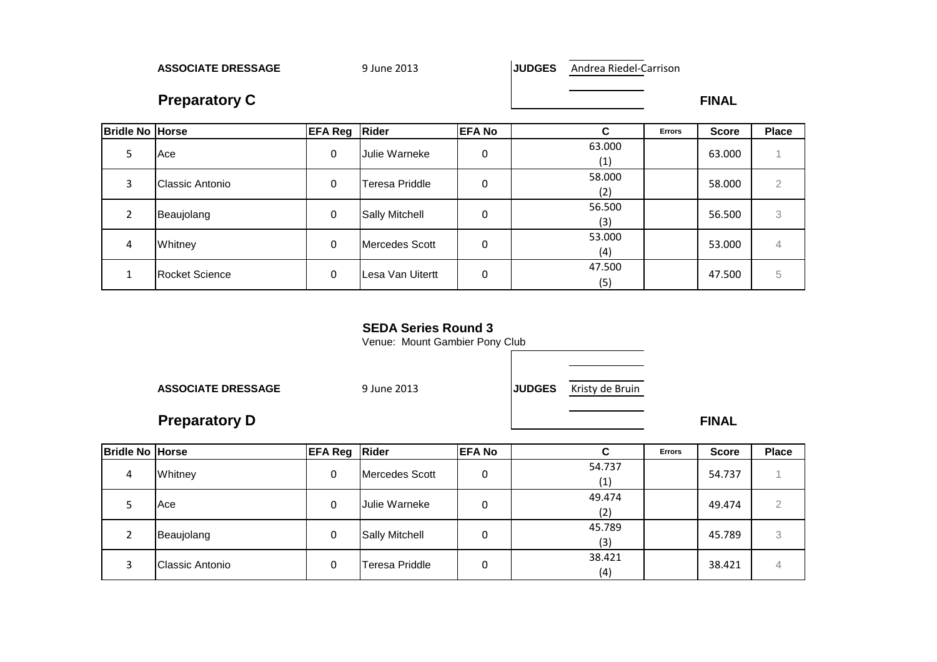**ASSOCIATE DRESSAGE**

9 June 2013 **JUDGES** Andrea Riedel-Carrison

**Preparatory C**

**C** FINAL

| <b>Bridle No Horse</b> |                        | <b>EFA Reg Rider</b> |                       | <b>EFA No</b> | C.            | <b>Errors</b> | <b>Score</b> | <b>Place</b> |
|------------------------|------------------------|----------------------|-----------------------|---------------|---------------|---------------|--------------|--------------|
|                        | Ace                    | 0                    | <b>Julie Warneke</b>  | 0             | 63.000<br>(1) |               | 63.000       |              |
|                        | <b>Classic Antonio</b> | 0                    | Teresa Priddle        | 0             | 58.000<br>(2) |               | 58,000       | 2            |
|                        | Beaujolang             | 0                    | <b>Sally Mitchell</b> | 0             | 56.500<br>(3) |               | 56.500       | 3            |
| 4                      | Whitney                | 0                    | Mercedes Scott        |               | 53.000<br>(4) |               | 53.000       | 4            |
|                        | <b>Rocket Science</b>  | $\Omega$             | Lesa Van Uitertt      |               | 47.500<br>(5) |               | 47.500       | 5            |

#### **SEDA Series Round 3**

Venue: Mount Gambier Pony Club

**ASSOCIATE DRESSAGE**

| E | 9 June 2013 | JUDGES Kristy de Bruin |
|---|-------------|------------------------|
|   |             |                        |

# **Preparatory D**

**FINAL** 

| <b>Bridle No Horse</b> |                 | <b>EFA Reg Rider</b> |                       | <b>EFA No</b> | ◠             | <b>Errors</b> | <b>Score</b> | <b>Place</b> |
|------------------------|-----------------|----------------------|-----------------------|---------------|---------------|---------------|--------------|--------------|
| 4                      | Whitney         | 0                    | Mercedes Scott        | 0             | 54.737<br>(1) |               | 54.737       |              |
|                        | Ace             | 0                    | Julie Warneke         | 0             | 49.474<br>(2) |               | 49.474       |              |
|                        | Beaujolang      | 0                    | <b>Sally Mitchell</b> | 0             | 45.789<br>(3) |               | 45.789       | 3            |
|                        | Classic Antonio | 0                    | Teresa Priddle        | 0             | 38.421<br>(4) |               | 38.421       | 4            |